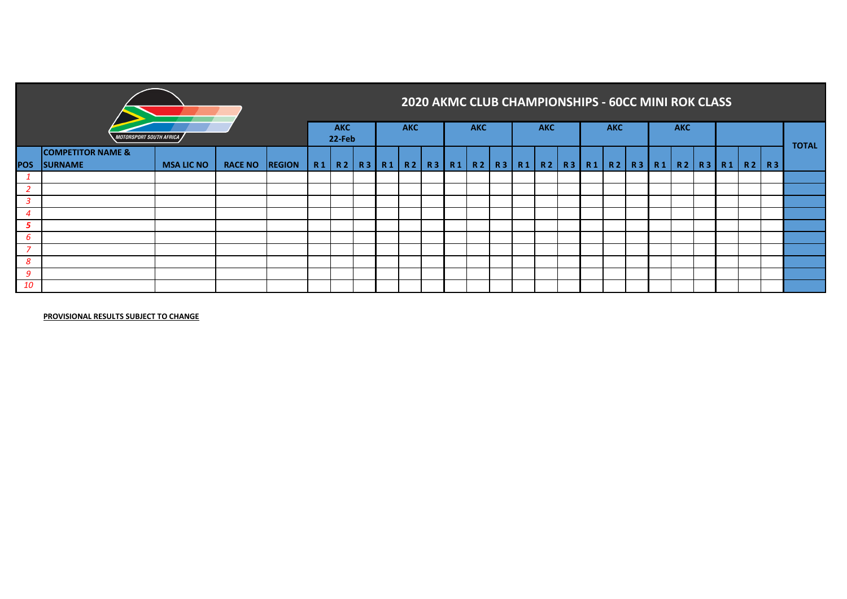|            |                                                |                   |                |    |                         |  |            |  |            |  | 2020 AKMC CLUB CHAMPIONSHIPS - 60CC MINI ROK CLASS                |  |            |  |            |  |  |              |
|------------|------------------------------------------------|-------------------|----------------|----|-------------------------|--|------------|--|------------|--|-------------------------------------------------------------------|--|------------|--|------------|--|--|--------------|
|            | <b>MOTORSPORT SOUTH AFRICA</b>                 |                   |                |    | <b>AKC</b><br>$22$ -Feb |  | <b>AKC</b> |  | <b>AKC</b> |  | <b>AKC</b>                                                        |  | <b>AKC</b> |  | <b>AKC</b> |  |  | <b>TOTAL</b> |
| <b>POS</b> | <b>COMPETITOR NAME &amp;</b><br><b>SURNAME</b> | <b>MSA LIC NO</b> | RACE NO REGION | R1 | R2                      |  |            |  |            |  | R3 R1 R2 R3 R1 R2 R3 R1 R2 R3 R1 R2 R3 R1 R2 R3 R1 R2 R3 R1 R2 R3 |  |            |  |            |  |  |              |
|            |                                                |                   |                |    |                         |  |            |  |            |  |                                                                   |  |            |  |            |  |  |              |
|            |                                                |                   |                |    |                         |  |            |  |            |  |                                                                   |  |            |  |            |  |  |              |
| 3          |                                                |                   |                |    |                         |  |            |  |            |  |                                                                   |  |            |  |            |  |  |              |
| 4          |                                                |                   |                |    |                         |  |            |  |            |  |                                                                   |  |            |  |            |  |  |              |
| 5          |                                                |                   |                |    |                         |  |            |  |            |  |                                                                   |  |            |  |            |  |  |              |
| 6          |                                                |                   |                |    |                         |  |            |  |            |  |                                                                   |  |            |  |            |  |  |              |
| 7          |                                                |                   |                |    |                         |  |            |  |            |  |                                                                   |  |            |  |            |  |  |              |
| 8          |                                                |                   |                |    |                         |  |            |  |            |  |                                                                   |  |            |  |            |  |  |              |
| 9          |                                                |                   |                |    |                         |  |            |  |            |  |                                                                   |  |            |  |            |  |  |              |
| 10         |                                                |                   |                |    |                         |  |            |  |            |  |                                                                   |  |            |  |            |  |  |              |

**PROVISIONAL RESULTS SUBJECT TO CHANGE**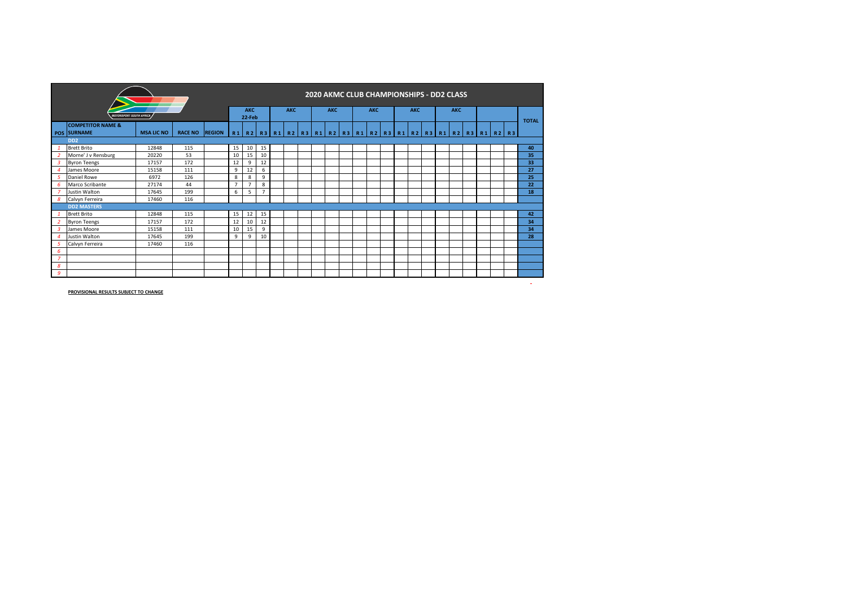|                |                                             |                   |                |               |                                       |                      |                |            | 2020 AKMC CLUB CHAMPIONSHIPS - DD2 CLASS |            |  |            |  |                                                 |  |            |  |  |              |
|----------------|---------------------------------------------|-------------------|----------------|---------------|---------------------------------------|----------------------|----------------|------------|------------------------------------------|------------|--|------------|--|-------------------------------------------------|--|------------|--|--|--------------|
|                | <b>MOTORSPORT SOUTH AFRICA</b>              |                   |                |               |                                       | <b>AKC</b><br>22-Feb |                | <b>AKC</b> |                                          | <b>AKC</b> |  | <b>AKC</b> |  | <b>AKC</b>                                      |  | <b>AKC</b> |  |  |              |
|                | <b>COMPETITOR NAME &amp;</b><br>POS SURNAME | <b>MSA LIC NO</b> | <b>RACE NO</b> | <b>REGION</b> | R1   R2   R3   R1   R2   R3   R1   R2 |                      |                |            |                                          |            |  |            |  | R3 R1 R2 R3 R1 R2 R3 R1 R2 R3 R1 R2 R3 R1 R2 R3 |  |            |  |  | <b>TOTAL</b> |
|                | D <sub>D</sub> <sub>2</sub>                 |                   |                |               |                                       |                      |                |            |                                          |            |  |            |  |                                                 |  |            |  |  |              |
|                | <b>Brett Brito</b>                          | 12848             | 115            |               | 15                                    | 10                   | 15             |            |                                          |            |  |            |  |                                                 |  |            |  |  | 40           |
|                | Morne' J v Rensburg                         | 20220             | 53             |               | 10                                    | 15                   | 10             |            |                                          |            |  |            |  |                                                 |  |            |  |  | 35           |
| 3              | <b>Byron Teengs</b>                         | 17157             | 172            |               | 12                                    | 9                    | 12             |            |                                          |            |  |            |  |                                                 |  |            |  |  | 33           |
|                | James Moore                                 | 15158             | 111            |               | 9                                     | 12                   | 6              |            |                                          |            |  |            |  |                                                 |  |            |  |  | 27           |
| 5              | Daniel Rowe                                 | 6972              | 126            |               | 8                                     | 8                    | 9              |            |                                          |            |  |            |  |                                                 |  |            |  |  | 25           |
| 6              | Marco Scribante                             | 27174             | 44             |               | $\overline{7}$                        | 7                    | 8              |            |                                          |            |  |            |  |                                                 |  |            |  |  | 22           |
|                | Justin Walton                               | 17645             | 199            |               | 6                                     | 5                    | $\overline{7}$ |            |                                          |            |  |            |  |                                                 |  |            |  |  | 18           |
| 8              | Calvyn Ferreira                             | 17460             | 116            |               |                                       |                      |                |            |                                          |            |  |            |  |                                                 |  |            |  |  |              |
|                | <b>DD2 MASTERS</b>                          |                   |                |               |                                       |                      |                |            |                                          |            |  |            |  |                                                 |  |            |  |  |              |
|                | <b>Brett Brito</b>                          | 12848             | 115            |               | 15                                    | 12                   | 15             |            |                                          |            |  |            |  |                                                 |  |            |  |  | 42           |
|                | <b>Byron Teengs</b>                         | 17157             | 172            |               | 12                                    | 10                   | 12             |            |                                          |            |  |            |  |                                                 |  |            |  |  | 34           |
|                | James Moore                                 | 15158             | 111            |               | 10                                    | 15                   | 9              |            |                                          |            |  |            |  |                                                 |  |            |  |  | 34           |
|                | Justin Walton                               | 17645             | 199            |               | 9                                     | 9                    | 10             |            |                                          |            |  |            |  |                                                 |  |            |  |  | 28           |
|                | Calvyn Ferreira                             | 17460             | 116            |               |                                       |                      |                |            |                                          |            |  |            |  |                                                 |  |            |  |  |              |
| 6              |                                             |                   |                |               |                                       |                      |                |            |                                          |            |  |            |  |                                                 |  |            |  |  |              |
| $\overline{7}$ |                                             |                   |                |               |                                       |                      |                |            |                                          |            |  |            |  |                                                 |  |            |  |  |              |
| 8              |                                             |                   |                |               |                                       |                      |                |            |                                          |            |  |            |  |                                                 |  |            |  |  |              |
| 9              |                                             |                   |                |               |                                       |                      |                |            |                                          |            |  |            |  |                                                 |  |            |  |  |              |
|                |                                             |                   |                |               |                                       |                      |                |            |                                          |            |  |            |  |                                                 |  |            |  |  | $\sim$       |

**PROVISIONAL RESULTS SUBJECT TO CHANGE**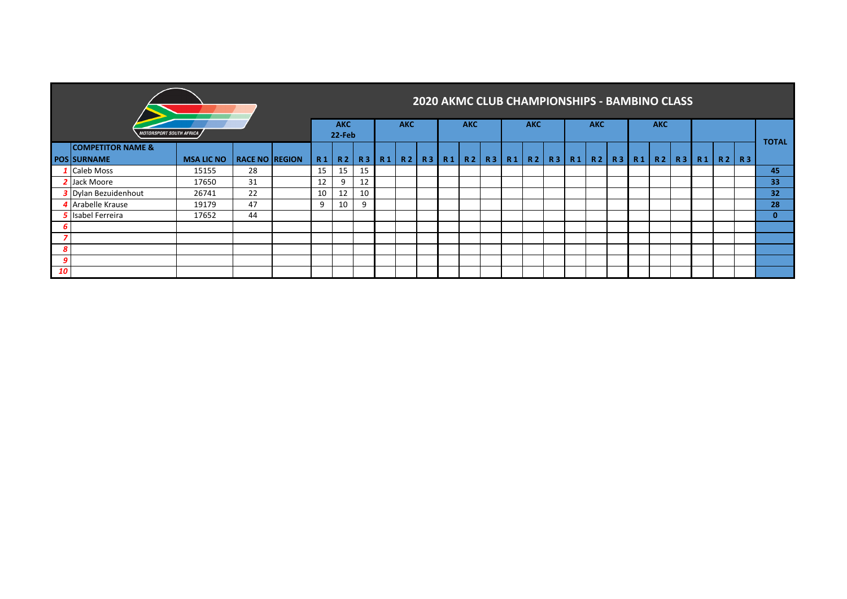|    | <i><b>MOTORSPORT SOUTH AFRICA</b></i>              |                   |                       |    | <b>AKC</b><br>22-Feb |           |    | <b>AKC</b>     |              | <b>AKC</b> |           | <b>AKC</b> |                   | <b>AKC</b> |           |    | <b>AKC</b> | <b>2020 AKMC CLUB CHAMPIONSHIPS - BAMBINO CLASS</b> |           |                |           |                 |
|----|----------------------------------------------------|-------------------|-----------------------|----|----------------------|-----------|----|----------------|--------------|------------|-----------|------------|-------------------|------------|-----------|----|------------|-----------------------------------------------------|-----------|----------------|-----------|-----------------|
|    | <b>COMPETITOR NAME &amp;</b><br><b>POS SURNAME</b> | <b>MSA LIC NO</b> | <b>RACE NO REGION</b> | R1 | R <sub>2</sub>       | <b>R3</b> | R1 | R <sub>2</sub> | R3   R1   R2 |            | <b>R3</b> |            | R1   R2   R3   R1 | R2         | <b>R3</b> | R1 | <b>R2</b>  | <b>R3</b>                                           | <b>R1</b> | R <sub>2</sub> | <b>R3</b> | <b>TOTAL</b>    |
|    | 1 Caleb Moss                                       | 15155             | 28                    | 15 | 15                   | 15        |    |                |              |            |           |            |                   |            |           |    |            |                                                     |           |                |           | 45              |
|    | 2 Jack Moore                                       | 17650             | 31                    | 12 | 9                    | 12        |    |                |              |            |           |            |                   |            |           |    |            |                                                     |           |                |           | 33              |
|    | <b>3</b> Dylan Bezuidenhout                        | 26741             | 22                    | 10 | 12                   | 10        |    |                |              |            |           |            |                   |            |           |    |            |                                                     |           |                |           | 32 <sub>2</sub> |
|    | 4 Arabelle Krause                                  | 19179             | 47                    | 9  | 10                   | 9         |    |                |              |            |           |            |                   |            |           |    |            |                                                     |           |                |           | 28              |
|    | <b>5</b> Isabel Ferreira                           | 17652             | 44                    |    |                      |           |    |                |              |            |           |            |                   |            |           |    |            |                                                     |           |                |           | $\mathbf{0}$    |
| 6  |                                                    |                   |                       |    |                      |           |    |                |              |            |           |            |                   |            |           |    |            |                                                     |           |                |           |                 |
|    |                                                    |                   |                       |    |                      |           |    |                |              |            |           |            |                   |            |           |    |            |                                                     |           |                |           |                 |
| 8  |                                                    |                   |                       |    |                      |           |    |                |              |            |           |            |                   |            |           |    |            |                                                     |           |                |           |                 |
| g  |                                                    |                   |                       |    |                      |           |    |                |              |            |           |            |                   |            |           |    |            |                                                     |           |                |           |                 |
| 10 |                                                    |                   |                       |    |                      |           |    |                |              |            |           |            |                   |            |           |    |            |                                                     |           |                |           |                 |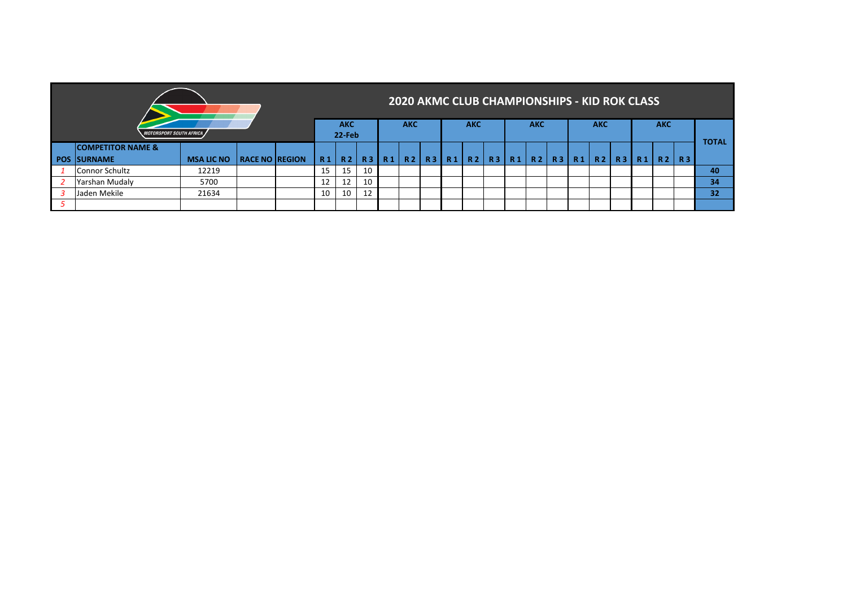|                              |                   |                       |           |           |            |                |            | <b>2020 AKMC CLUB CHAMPIONSHIPS - KID ROK CLASS</b> |                |            |    |            |           |            |            |    |              |           |    |
|------------------------------|-------------------|-----------------------|-----------|-----------|------------|----------------|------------|-----------------------------------------------------|----------------|------------|----|------------|-----------|------------|------------|----|--------------|-----------|----|
| MOTORSPORT SOUTH AFRICA ,    |                   | <b>AKC</b><br>22-Feb  |           |           | <b>AKC</b> |                | <b>AKC</b> |                                                     |                | <b>AKC</b> |    | <b>AKC</b> |           |            | <b>AKC</b> |    |              |           |    |
| <b>COMPETITOR NAME &amp;</b> |                   |                       |           |           |            |                |            |                                                     |                |            |    |            |           |            |            |    | <b>TOTAL</b> |           |    |
| <b>POS SURNAME</b>           | <b>MSA LIC NO</b> | <b>RACE NO REGION</b> | <b>R1</b> | <b>R2</b> | <b>R3</b>  | R <sub>1</sub> | <b>R2</b>  | R3 R1                                               | R <sub>2</sub> | <b>R3</b>  | R1 | <b>R2</b>  | R 3   R 1 | <b>TR2</b> | <b>R3</b>  | R1 | <b>R2</b>    | <b>R3</b> |    |
| Connor Schultz               | 12219             |                       | 15        | 15        | 10         |                |            |                                                     |                |            |    |            |           |            |            |    |              |           | 40 |
| Yarshan Mudaly               | 5700              |                       | 12        | 12        | 10         |                |            |                                                     |                |            |    |            |           |            |            |    |              |           | 34 |
| Jaden Mekile                 | 21634             |                       | 10        | 10        | 12         |                |            |                                                     |                |            |    |            |           |            |            |    |              |           | 32 |
|                              |                   |                       |           |           |            |                |            |                                                     |                |            |    |            |           |            |            |    |              |           |    |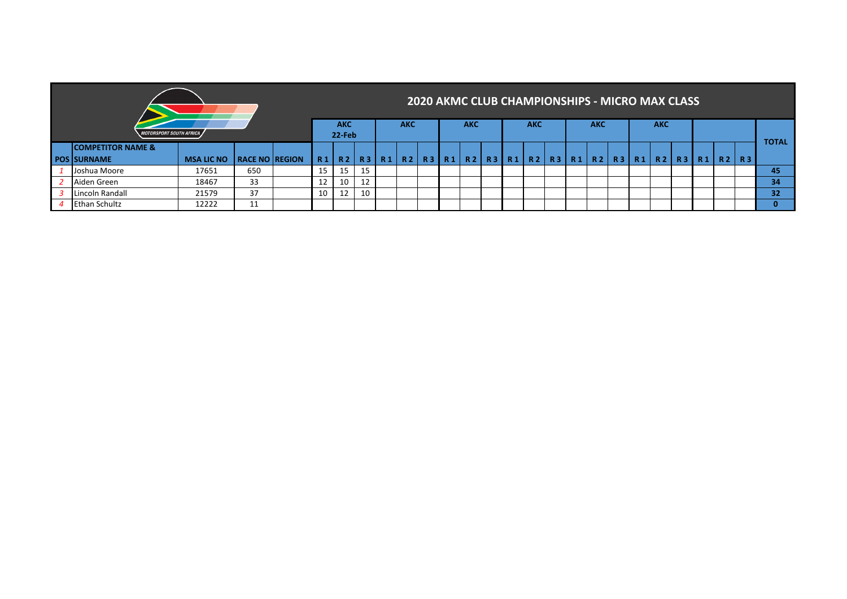|                                |                   |                         |  |                |                |         |                |            |                |                | <b>2020 AKMC CLUB CHAMPIONSHIPS - MICRO MAX CLASS</b> |           |                        |  |  |           |              |              |    |    |
|--------------------------------|-------------------|-------------------------|--|----------------|----------------|---------|----------------|------------|----------------|----------------|-------------------------------------------------------|-----------|------------------------|--|--|-----------|--------------|--------------|----|----|
| <b>MOTORSPORT SOUTH AFRICA</b> |                   | <b>AKC</b><br>$22$ -Feb |  | <b>AKC</b>     |                |         | <b>AKC</b>     |            | <b>AKC</b>     |                | <b>AKC</b>                                            |           | <b>AKC</b>             |  |  |           |              |              |    |    |
| <b>COMPETITOR NAME &amp;</b>   |                   |                         |  |                |                |         |                |            |                |                |                                                       |           |                        |  |  |           |              | <b>TOTAL</b> |    |    |
| <b>POS SURNAME</b>             | <b>MSA LIC NO</b> | <b>RACE NO REGION</b>   |  | R <sub>1</sub> | R <sub>2</sub> | R3 R1   | R <sub>2</sub> | <b>R31</b> | R <sub>1</sub> | R <sub>2</sub> | R3   R1                                               | <b>R2</b> | R3   R1   R2   R3   R1 |  |  | <b>R2</b> | <b>R3</b> R1 | R2           | R3 |    |
| Lloshua Moore                  | 17651             | 650                     |  | 15             | 15             |         |                |            |                |                |                                                       |           |                        |  |  |           |              |              |    | 45 |
| Aiden Green                    | 18467             | 33                      |  | 12             | 10             | 12<br>ᅶ |                |            |                |                |                                                       |           |                        |  |  |           |              |              |    | 34 |
| Lincoln Randall                | 21579             | 37                      |  | 10             | 12             | 10      |                |            |                |                |                                                       |           |                        |  |  |           |              |              |    | 32 |
| <b>Ethan Schultz</b>           | 12222             | 11                      |  |                |                |         |                |            |                |                |                                                       |           |                        |  |  |           |              |              |    | 0  |